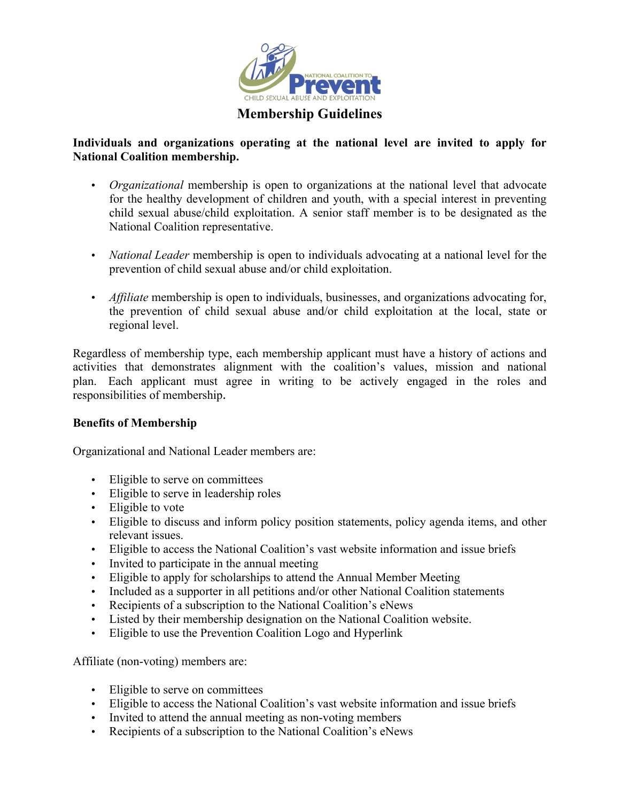

# **Individuals and organizations operating at the national level are invited to apply for National Coalition membership.**

- *Organizational* membership is open to organizations at the national level that advocate for the healthy development of children and youth, with a special interest in preventing child sexual abuse/child exploitation. A senior staff member is to be designated as the National Coalition representative.
- *National Leader* membership is open to individuals advocating at a national level for the prevention of child sexual abuse and/or child exploitation.
- *Affiliate* membership is open to individuals, businesses, and organizations advocating for, the prevention of child sexual abuse and/or child exploitation at the local, state or regional level.

Regardless of membership type, each membership applicant must have a history of actions and activities that demonstrates alignment with the coalition's values, mission and national plan. Each applicant must agree in writing to be actively engaged in the roles and responsibilities of membership.

## **Benefits of Membership**

Organizational and National Leader members are:

- Eligible to serve on committees
- Eligible to serve in leadership roles
- Eligible to vote
- Eligible to discuss and inform policy position statements, policy agenda items, and other relevant issues.
- Eligible to access the National Coalition's vast website information and issue briefs
- Invited to participate in the annual meeting
- Eligible to apply for scholarships to attend the Annual Member Meeting
- Included as a supporter in all petitions and/or other National Coalition statements
- Recipients of a subscription to the National Coalition's eNews
- Listed by their membership designation on the National Coalition website.
- Eligible to use the Prevention Coalition Logo and Hyperlink

Affiliate (non-voting) members are:

- Eligible to serve on committees
- Eligible to access the National Coalition's vast website information and issue briefs
- Invited to attend the annual meeting as non-voting members
- Recipients of a subscription to the National Coalition's eNews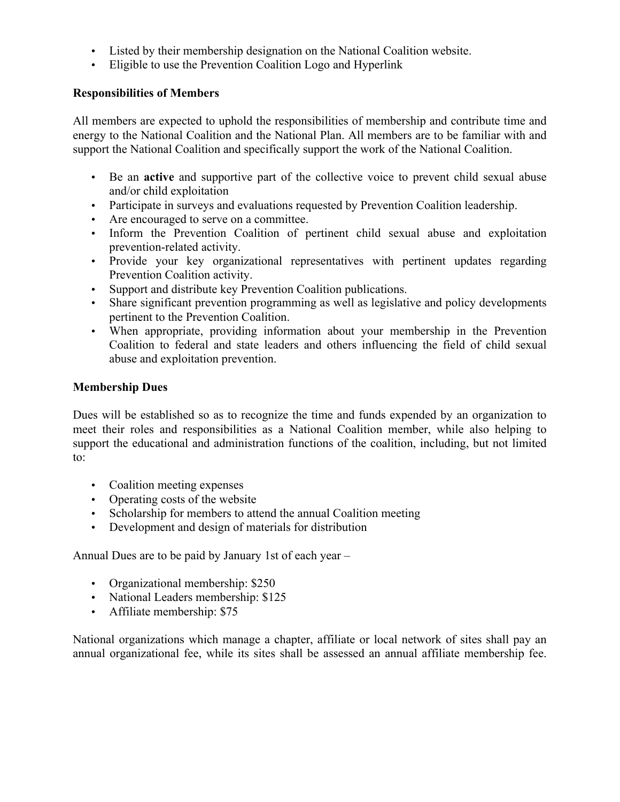- Listed by their membership designation on the National Coalition website.
- Eligible to use the Prevention Coalition Logo and Hyperlink

## **Responsibilities of Members**

All members are expected to uphold the responsibilities of membership and contribute time and energy to the National Coalition and the National Plan. All members are to be familiar with and support the National Coalition and specifically support the work of the National Coalition.

- Be an **active** and supportive part of the collective voice to prevent child sexual abuse and/or child exploitation
- Participate in surveys and evaluations requested by Prevention Coalition leadership.
- Are encouraged to serve on a committee.
- Inform the Prevention Coalition of pertinent child sexual abuse and exploitation prevention-related activity.
- Provide your key organizational representatives with pertinent updates regarding Prevention Coalition activity.
- Support and distribute key Prevention Coalition publications.
- Share significant prevention programming as well as legislative and policy developments pertinent to the Prevention Coalition.
- When appropriate, providing information about your membership in the Prevention Coalition to federal and state leaders and others influencing the field of child sexual abuse and exploitation prevention.

## **Membership Dues**

Dues will be established so as to recognize the time and funds expended by an organization to meet their roles and responsibilities as a National Coalition member, while also helping to support the educational and administration functions of the coalition, including, but not limited to:

- Coalition meeting expenses
- Operating costs of the website
- Scholarship for members to attend the annual Coalition meeting
- Development and design of materials for distribution

Annual Dues are to be paid by January 1st of each year –

- Organizational membership: \$250
- National Leaders membership: \$125
- Affiliate membership: \$75

National organizations which manage a chapter, affiliate or local network of sites shall pay an annual organizational fee, while its sites shall be assessed an annual affiliate membership fee.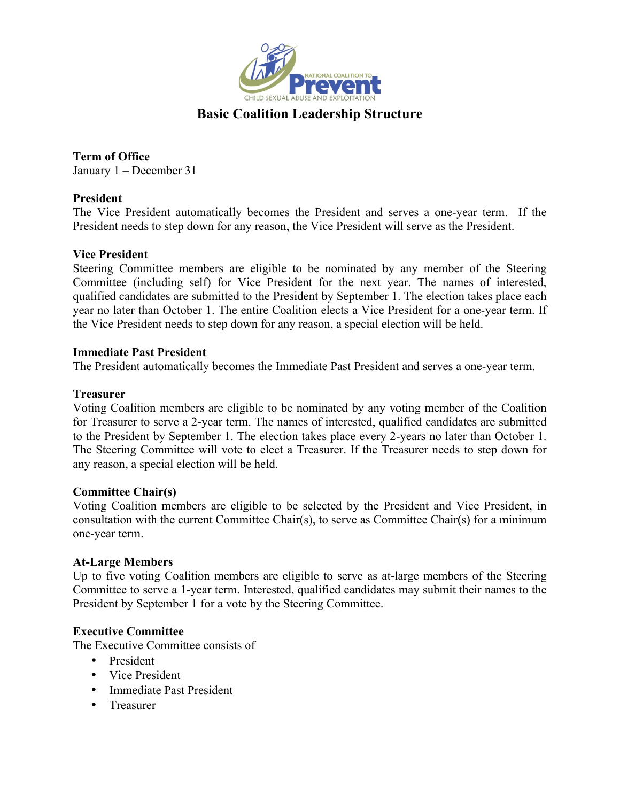

# **Basic Coalition Leadership Structure**

**Term of Office** January 1 – December 31

## **President**

The Vice President automatically becomes the President and serves a one-year term. If the President needs to step down for any reason, the Vice President will serve as the President.

## **Vice President**

Steering Committee members are eligible to be nominated by any member of the Steering Committee (including self) for Vice President for the next year. The names of interested, qualified candidates are submitted to the President by September 1. The election takes place each year no later than October 1. The entire Coalition elects a Vice President for a one-year term. If the Vice President needs to step down for any reason, a special election will be held.

### **Immediate Past President**

The President automatically becomes the Immediate Past President and serves a one-year term.

### **Treasurer**

Voting Coalition members are eligible to be nominated by any voting member of the Coalition for Treasurer to serve a 2-year term. The names of interested, qualified candidates are submitted to the President by September 1. The election takes place every 2-years no later than October 1. The Steering Committee will vote to elect a Treasurer. If the Treasurer needs to step down for any reason, a special election will be held.

### **Committee Chair(s)**

Voting Coalition members are eligible to be selected by the President and Vice President, in consultation with the current Committee Chair(s), to serve as Committee Chair(s) for a minimum one-year term.

### **At-Large Members**

Up to five voting Coalition members are eligible to serve as at-large members of the Steering Committee to serve a 1-year term. Interested, qualified candidates may submit their names to the President by September 1 for a vote by the Steering Committee.

### **Executive Committee**

The Executive Committee consists of

- President
- Vice President
- Immediate Past President
- Treasurer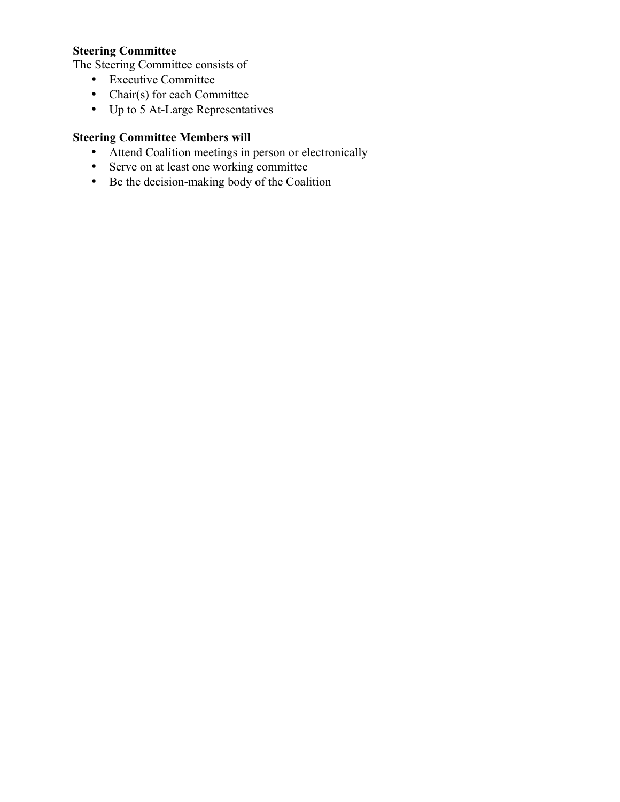# **Steering Committee**

The Steering Committee consists of

- Executive Committee
- Chair(s) for each Committee
- Up to 5 At-Large Representatives

# **Steering Committee Members will**

- Attend Coalition meetings in person or electronically
- Serve on at least one working committee
- Be the decision-making body of the Coalition